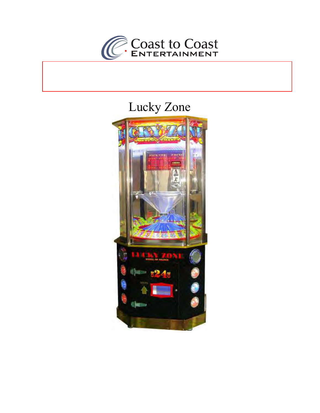

# Lucky Zone

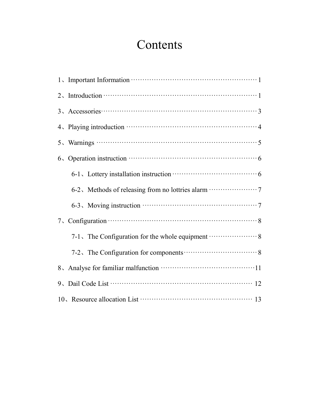# **Contents**

| $2.$ Introduction $\cdots$ and $\cdots$ and $\cdots$                      |  |  |  |  |  |  |  |
|---------------------------------------------------------------------------|--|--|--|--|--|--|--|
|                                                                           |  |  |  |  |  |  |  |
|                                                                           |  |  |  |  |  |  |  |
|                                                                           |  |  |  |  |  |  |  |
|                                                                           |  |  |  |  |  |  |  |
|                                                                           |  |  |  |  |  |  |  |
|                                                                           |  |  |  |  |  |  |  |
|                                                                           |  |  |  |  |  |  |  |
| 7. Configuration $\cdots$ and $\cdots$ and $\cdots$                       |  |  |  |  |  |  |  |
| 7-1, The Configuration for the whole equipment <b>With and Strategier</b> |  |  |  |  |  |  |  |
|                                                                           |  |  |  |  |  |  |  |
|                                                                           |  |  |  |  |  |  |  |
|                                                                           |  |  |  |  |  |  |  |
|                                                                           |  |  |  |  |  |  |  |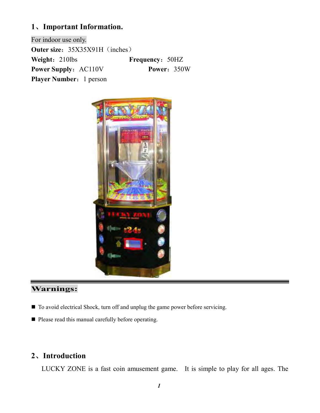### **1**、**Important Information.**

For indoor use only. **Outer size:** 35X35X91H (inches) **Weight:** 210lbs **Frequency:** 50HZ **Power Supply:** AC110V **Power:** 350W **Player Number:** 1 person



# **Warnings:**

- To avoid electrical Shock, turn off and unplug the game power before servicing.
- **Please read this manual carefully before operating.**

## **2**、**Introduction**

LUCKY ZONE is a fast coin amusement game. It is simple to play for all ages. The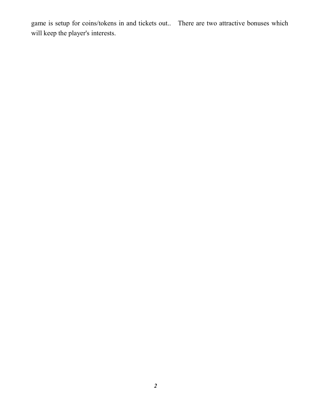game is setup for coins/tokens in and tickets out.. There are two attractive bonuses which will keep the player's interests.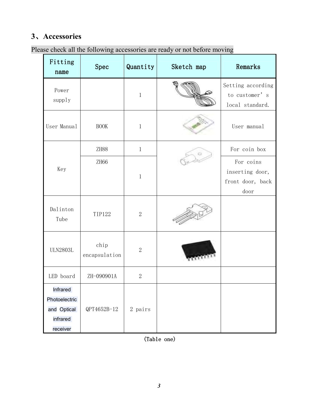# **3**、**Accessories**

| Please check all the following accessories are ready or not before moving |  |  |  |
|---------------------------------------------------------------------------|--|--|--|
|                                                                           |  |  |  |

| Fitting<br>name                                                  | Spec          | Quantity       | Sketch map | Remarks                                                  |
|------------------------------------------------------------------|---------------|----------------|------------|----------------------------------------------------------|
| Power<br>supply                                                  |               | $\mathbf{1}$   |            | Setting according<br>to customer's<br>local standard.    |
| User Manual                                                      | <b>BOOK</b>   |                |            | User manual                                              |
|                                                                  | ZH88          | $1\,$          |            | For coin box                                             |
| Key                                                              | ZH66          | $1\,$          |            | For coins<br>inserting door,<br>front door, back<br>door |
| Dalinton<br>Tube                                                 | <b>TIP122</b> | $\mathbf{2}$   |            |                                                          |
| chip<br><b>ULN2803L</b><br>encapsulation                         |               | $\overline{2}$ |            |                                                          |
| LED board                                                        | ZH-090901A    | $\mathbf{2}$   |            |                                                          |
| Infrared<br>Photoelectric<br>and Optical<br>infrared<br>receiver | QPT4652B-12   | 2 pairs        |            |                                                          |

(Table one)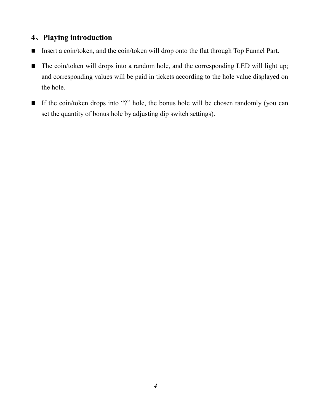### **4**、**Playing introduction**

- Insert a coin/token, and the coin/token will drop onto the flat through Top Funnel Part.
- $\blacksquare$  The coin/token will drops into a random hole, and the corresponding LED will light up; and corresponding values will be paid in tickets according to the hole value displayed on the hole.
- $\blacksquare$  If the coin/token drops into "?" hole, the bonus hole will be chosen randomly (you can set the quantity of bonus hole by adjusting dip switch settings).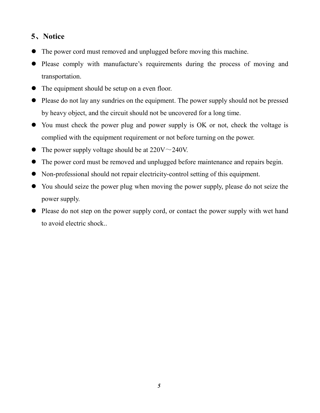# **5**、**Notice**

- $\bullet$ The power cord must removed and unplugged before moving this machine.
- $\bullet$  Please comply with manufacture's requirements during the process of moving and transportation.
- The equipment should be setup on a even floor.
- Please do not lay any sundries on the equipment. The power supply should not be pressed by heavy object, and the circuit should not be uncovered for a long time.
- You must check the power plug and power supply is OK or not, check the voltage is complied with the equipment requirement or not before turning on the power.
- $\bullet$ The power supply voltage should be at  $220V \sim 240V$ .
- $\bullet$ The power cord must be removed and unplugged before maintenance and repairs begin.
- Non-professional should not repair electricity-control setting of this equipment.
- You should seize the power plug when moving the power supply, please do not seize the power supply.
- Please do not step on the power supply cord, or contact the power supply with wet hand to avoid electric shock..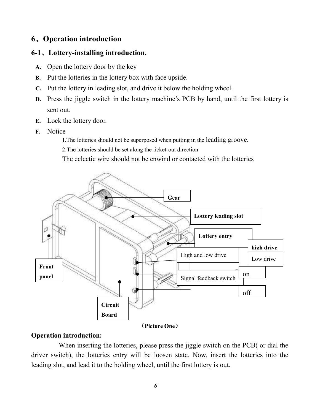### **6**、**Operation introduction**

#### **6-1**、**Lottery-installing introduction.**

- **A.** Open the lottery door by the key
- **B.** Put the lotteries in the lottery box with face upside.
- **C.** Put the lottery in leading slot, and drive it below the holding wheel.
- **D.** Press the jiggle switch in the lottery machine's PCB by hand, until the first lottery is sent out.
- **E.** Lock the lottery door.
- **F.** Notice

1.The lotteries should not be superposed when putting in the leading groove.

2.The lotteries should be set along the ticket-out direction

The eclectic wire should not be enwind or contacted with the lotteries



(**Picture One**)

### **Operation introduction:**

 When inserting the lotteries, please press the jiggle switch on the PCB( or dial the driver switch), the lotteries entry will be loosen state. Now, insert the lotteries into the leading slot, and lead it to the holding wheel, until the first lottery is out.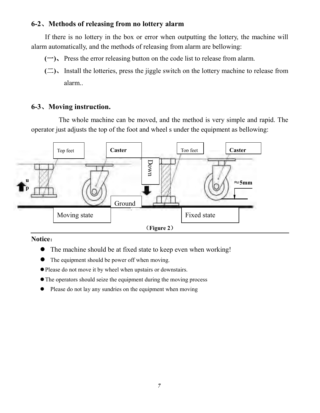### **6-2**、**Methods of releasing from no lottery alarm**

If there is no lottery in the box or error when outputting the lottery, the machine will alarm automatically, and the methods of releasing from alarm are bellowing:

- **(**一**)**、Press the error releasing button on the code list to release from alarm.
- **(**二**)**、Install the lotteries, press the jiggle switch on the lottery machine to release from alarm..

### **6-3**、**Moving instruction.**

 The whole machine can be moved, and the method is very simple and rapid. The operator just adjusts the top of the foot and wheel s under the equipment as bellowing:



#### **Notice**:

- The machine should be at fixed state to keep even when working!
- The equipment should be power off when moving.
- -Please do not move it by wheel when upstairs or downstairs.
- -The operators should seize the equipment during the moving process
- $\bullet$ Please do not lay any sundries on the equipment when moving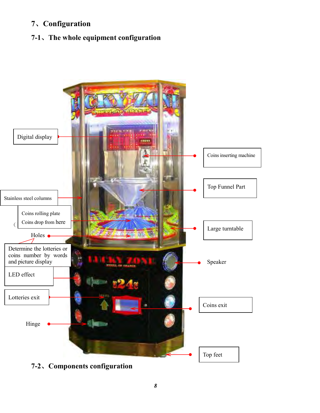# **7**、**Configuration**

# **7-1**、**The whole equipment configuration**



**7-2**、**Components configuration**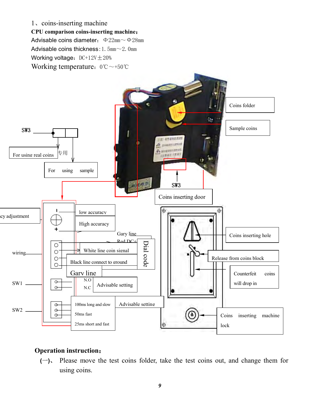#### 1、coins-inserting machine

**CPU comparison coins-inserting machine**:

Advisable coins diameter:  $\Phi 22mm \sim \Phi 28mm$ Advisable coins thickness:  $1.5 \text{mm} \sim 2.0 \text{mm}$ Working voltage:  $DC+12V \pm 20%$ Working temperature: 0℃~+50℃



### **Operation instruction**:

**(**一**)**、 Please move the test coins folder, take the test coins out, and change them for using coins.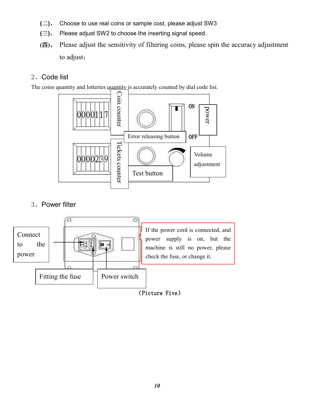- **(**二**)**、 Choose to use real coins or sample cost, please adjust SW3
- **(**三**)**、 Please adjust SW2 to choose the inserting signal speed.
- **(**四**)**、 Please adjust the sensitivity of filtering coins, please spin the accuracy adjustment to adjust;

### 2、Code list

The coins quantity and lotteries quantity is accurately counted by dial code list.



### 3、Power filter

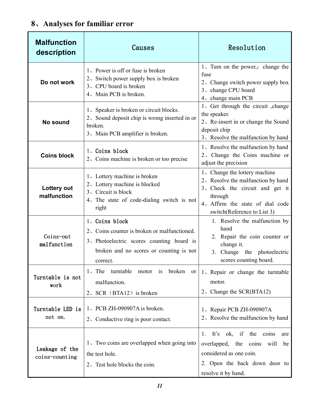# **8**、**Analyses for familiar error**

| <b>Malfunction</b><br>description | Causes                                                                                                                                                            | Resolution                                                                                                                                                                           |
|-----------------------------------|-------------------------------------------------------------------------------------------------------------------------------------------------------------------|--------------------------------------------------------------------------------------------------------------------------------------------------------------------------------------|
| Do not work                       | 1, Power is off or fuse is broken<br>2. Switch power supply box is broken<br>3. CPU board is broken<br>4. Main PCB is broken.                                     | 1. Turn on the power, change the<br>fuse<br>2. Change switch power supply box<br>3、change CPU board<br>4. change main PCB                                                            |
| No sound                          | 1. Speaker is broken or circuit blocks.<br>2. Sound deposit chip is wrong inserted in or<br>broken.<br>3. Main PCB amplifier is broken.                           | 1. Get through the circuit , change<br>the speaker.<br>2. Re-insert in or change the Sound<br>deposit chip<br>3. Resolve the malfunction by hand                                     |
| <b>Coins block</b>                | 1、Coins block<br>2. Coins machine is broken or too precise                                                                                                        | 1. Resolve the malfunction by hand<br>2. Change the Coins machine or<br>adjust the precision                                                                                         |
| Lottery out<br>malfunction        | 1. Lottery machine is broken<br>2. Lottery machine is blocked<br>3. Circuit is block<br>4. The state of code-dialing switch is not<br>right                       | 1. Change the lottery machine<br>2. Resolve the malfunction by hand<br>3. Check the circuit and get it<br>through<br>4. Affirm the state of dial code<br>switch(Reference to List 3) |
| Coins-out<br>malfunction          | 1、Coins block<br>2. Coins counter is broken or malfunctioned.<br>3. Photoelectric scores counting board is<br>broken and no scores or counting is not<br>correct. | 1. Resolve the malfunction by<br>hand<br>2. Repair the coin counter or<br>change it.<br>3. Change the photoelectric<br>scores counting board.                                        |
| Turntable is not<br>work          | turntable<br>$1.$ The<br>broken<br>motor is<br><sub>or</sub><br>malfunction.<br>2、SCR (BTA12) is broken                                                           | 1. Repair or change the turntable<br>motor.<br>2. Change the SCR(BTA12)                                                                                                              |
| Turntable LED is<br>not on.       | $1.$ PCB ZH-090907A is broken.<br>2. Conductive ring is poor contact.                                                                                             | 1、Repair PCB ZH-090907A<br>2. Resolve the malfunction by hand                                                                                                                        |
| Leakage of the<br>coins-counting  | 1. Two coins are overlapped when going into<br>the test hole.<br>2. Test hole blocks the coin.                                                                    | It's ok, if the coins<br>1.<br>are<br>overlapped, the<br>coins<br>will<br>be<br>considered as one coin.<br>2. Open the back down door to<br>resolve it by hand.                      |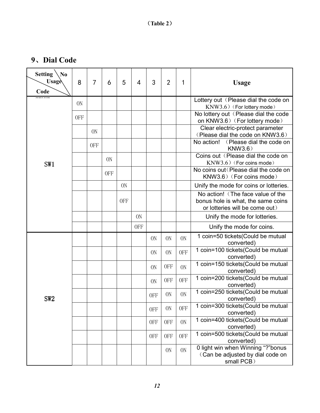# **9**、**Dial Code**

| <b>Setting</b><br>N <sub>0</sub><br>Usage<br>Code | 8              | 7          | 6          | 5              | $\overline{4}$ | 3              | $\overline{2}$ | 1              | <b>Usage</b>                                                                                              |
|---------------------------------------------------|----------------|------------|------------|----------------|----------------|----------------|----------------|----------------|-----------------------------------------------------------------------------------------------------------|
|                                                   | 0 <sub>N</sub> |            |            |                |                |                |                |                | Lottery out (Please dial the code on<br>$KNW3.6)$ (For lottery mode)                                      |
|                                                   | <b>OFF</b>     |            |            |                |                |                |                |                | No lottery out (Please dial the code<br>on KNW3.6) (For lottery mode)                                     |
|                                                   |                | <b>ON</b>  |            |                |                |                |                |                | Clear electric-protect parameter<br>(Please dial the code on KNW3.6)                                      |
|                                                   |                | <b>OFF</b> |            |                |                |                |                |                | No action!<br>(Please dial the code on<br>KNW3.6)                                                         |
| SW1                                               |                |            | <b>ON</b>  |                |                |                |                |                | Coins out (Please dial the code on<br>$KNW3.6$ (For coins mode)                                           |
|                                                   |                |            | <b>OFF</b> |                |                |                |                |                | No coins out (Please dial the code on<br>KNW3.6) (For coins mode)                                         |
|                                                   |                |            |            | 0 <sub>N</sub> |                |                |                |                | Unify the mode for coins or lotteries.                                                                    |
|                                                   |                |            |            | <b>OFF</b>     |                |                |                |                | No action! (The face value of the<br>bonus hole is what, the same coins<br>or lotteries will be come out) |
|                                                   |                |            |            |                | 0 <sub>N</sub> |                |                |                | Unify the mode for lotteries.                                                                             |
|                                                   |                |            |            |                | <b>OFF</b>     |                |                |                | Unify the mode for coins.                                                                                 |
|                                                   |                |            |            |                |                | 0 <sub>N</sub> | 0 <sub>N</sub> | 0 <sub>N</sub> | 1 coin=50 tickets(Could be mutual<br>converted)                                                           |
|                                                   |                |            |            |                |                | <b>ON</b>      | 0 <sub>N</sub> | <b>OFF</b>     | 1 coin=100 tickets(Could be mutual<br>converted)                                                          |
|                                                   |                |            |            |                |                | 0 <sub>N</sub> | <b>OFF</b>     | 0N             | 1 coin=150 tickets(Could be mutual<br>converted)                                                          |
|                                                   |                |            |            |                |                | 0 <sub>N</sub> | <b>OFF</b>     | <b>OFF</b>     | 1 coin=200 tickets(Could be mutual<br>converted)                                                          |
| SW2                                               |                |            |            |                |                | <b>OFF</b>     | 0 <sub>N</sub> | 0 <sub>N</sub> | 1 coin=250 tickets(Could be mutual<br>converted)                                                          |
|                                                   |                |            |            |                |                | <b>OFF</b>     | 0N             | <b>OFF</b>     | 1 coin=300 tickets (Could be mutual<br>converted)                                                         |
|                                                   |                |            |            |                |                | <b>OFF</b>     | <b>OFF</b>     | <b>ON</b>      | 1 coin=400 tickets(Could be mutual<br>converted)                                                          |
|                                                   |                |            |            |                |                | <b>OFF</b>     | <b>OFF</b>     | <b>OFF</b>     | 1 coin=500 tickets(Could be mutual<br>converted)                                                          |
|                                                   |                |            |            |                |                |                | 0N             | ON             | 0 light win when Winning "?"bonus<br>(Can be adjusted by dial code on<br>small PCB)                       |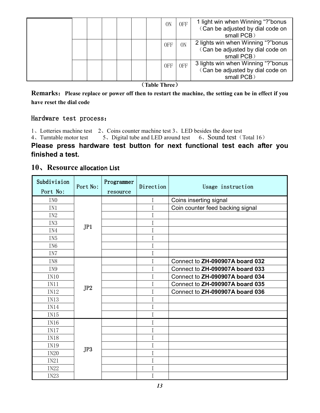|  |  |  | 0N         | <b>OFF</b> | 1 light win when Winning "?"bonus<br>(Can be adjusted by dial code on<br>small PCB)  |
|--|--|--|------------|------------|--------------------------------------------------------------------------------------|
|  |  |  | <b>OFF</b> | 0N         | 2 lights win when Winning "?"bonus<br>(Can be adjusted by dial code on<br>small PCB) |
|  |  |  | <b>OFF</b> | 0FF        | 3 lights win when Winning "?"bonus<br>(Can be adjusted by dial code on<br>small PCB) |

#### (**Table Three**)

**Remarks**:**Please replace or power off then to restart the machine, the setting can be in effect if you have reset the dial code** 

#### Hardware test process:

1、Lotteries machine test 2、Coins counter machine test 3、LED besides the door test

4、Turntable motor test 5、Digital tube and LED around test 6、Sound test (Total 16)

#### **Please press hardware test button for next functional test each after you finished a test.**

#### **10. Resource allocation List**

| Subdivision<br>Port No: | Port No: | Programmer<br>resource | Direction | Usage instruction                |
|-------------------------|----------|------------------------|-----------|----------------------------------|
| IN <sub>0</sub>         |          |                        | $\rm I$   | Coins inserting signal           |
| IN1                     |          |                        | Ι         | Coin counter feed backing signal |
| IN <sub>2</sub>         |          |                        | Ι         |                                  |
| IN <sub>3</sub>         |          |                        | I         |                                  |
| IN4                     | JPI      |                        | I         |                                  |
| IN <sub>5</sub>         |          |                        | I         |                                  |
| IN <sub>6</sub>         |          |                        | I         |                                  |
| IN7                     |          |                        | I         |                                  |
| IN <sub>8</sub>         |          |                        | I         | Connect to ZH-090907A board 032  |
| IN9                     |          |                        | Ι         | Connect to ZH-090907A board 033  |
| IN10                    |          |                        | Ι         | Connect to ZH-090907A board 034  |
| IN11                    | JP2      |                        | Ι         | Connect to ZH-090907A board 035  |
| IN12                    |          |                        | I         | Connect to ZH-090907A board 036  |
| IN13                    |          |                        | I         |                                  |
| IN14                    |          |                        | I         |                                  |
| IN15                    |          |                        | Ι         |                                  |
| IN16                    |          |                        | Ι         |                                  |
| IN17                    |          |                        | Ι         |                                  |
| IN18                    | JP3      |                        | I         |                                  |
| IN19                    |          |                        | I         |                                  |
| <b>IN20</b>             |          |                        | I         |                                  |
| IN21                    |          |                        | Ι         |                                  |
| <b>IN22</b>             |          |                        | I         |                                  |
| <b>IN23</b>             |          |                        | Ι         |                                  |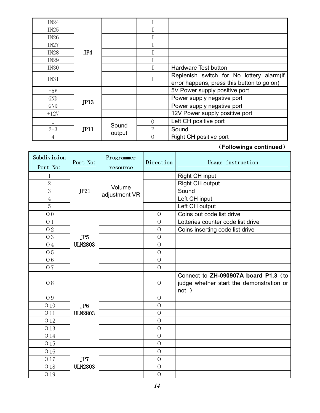| IN24        |      |        |   |                                            |
|-------------|------|--------|---|--------------------------------------------|
| IN25        |      |        |   |                                            |
| IN26        |      |        |   |                                            |
| IN27        |      |        |   |                                            |
| IN28        | JP4  |        |   |                                            |
| IN29        |      |        |   |                                            |
| IN30        |      |        |   | Hardware Test button                       |
| <b>IN31</b> |      |        |   | Replenish switch for No lottery alarm (if  |
|             |      |        |   | error happens, press this button to go on) |
| $+5V$       |      |        |   | 5V Power supply positive port              |
| <b>GND</b>  |      |        |   | Power supply negative port                 |
| <b>GND</b>  | JP13 |        |   | Power supply negative port                 |
| $+12V$      |      |        |   | 12V Power supply positive port             |
|             | JPI1 |        | 0 | Left CH positive port                      |
| $2 - 3$     |      | Sound  | Р | Sound                                      |
| 4           |      | output | 0 | Right CH positive port                     |

(**Followings continued**)

| Subdivision    | Port No:        | Programmer    | Direction      | Usage instruction                                                                         |
|----------------|-----------------|---------------|----------------|-------------------------------------------------------------------------------------------|
| Port No:       |                 | resource      |                |                                                                                           |
| 1              |                 |               |                | Right CH input                                                                            |
| $\overline{2}$ |                 | Volume        |                | Right CH output                                                                           |
| 3              | JP21            | adjustment VR |                | Sound                                                                                     |
| $\overline{4}$ |                 |               |                | Left CH input                                                                             |
| 5              |                 |               |                | Left CH output                                                                            |
| O <sub>0</sub> |                 |               | $\overline{O}$ | Coins out code list drive                                                                 |
| 01             |                 |               | $\overline{O}$ | Lotteries counter code list drive                                                         |
| O <sub>2</sub> |                 |               | $\overline{O}$ | Coins inserting code list drive                                                           |
| O 3            | JP <sub>5</sub> |               | $\overline{O}$ |                                                                                           |
| <b>O</b> 4     | <b>ULN2803</b>  |               | $\overline{O}$ |                                                                                           |
| O <sub>5</sub> |                 |               | $\overline{O}$ |                                                                                           |
| O <sub>6</sub> |                 |               | $\overline{O}$ |                                                                                           |
| O 7            |                 |               | $\overline{O}$ |                                                                                           |
| <b>O8</b>      |                 |               | $\overline{O}$ | Connect to ZH-090907A board P1.3 (to<br>judge whether start the demonstration or<br>not ) |
| O 9            |                 |               | $\overline{O}$ |                                                                                           |
| 010            | JP <sub>6</sub> |               | $\overline{O}$ |                                                                                           |
| O 11           | <b>ULN2803</b>  |               | $\overline{O}$ |                                                                                           |
| O 12           |                 |               | $\overline{O}$ |                                                                                           |
| O 13           |                 |               | $\overline{O}$ |                                                                                           |
| 014            |                 |               | $\overline{O}$ |                                                                                           |
| O 15           |                 |               | $\overline{O}$ |                                                                                           |
| O 16           |                 |               | $\overline{O}$ |                                                                                           |
| O 17           | JP7             |               | $\overline{O}$ |                                                                                           |
| O 18           | <b>ULN2803</b>  |               | $\overline{O}$ |                                                                                           |
| O 19           |                 |               | $\mathcal{O}$  |                                                                                           |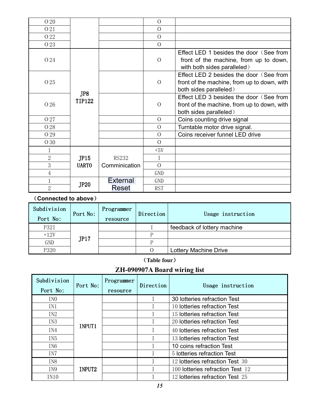| O 20           |                      |                 | $\overline{O}$ |                                                                                                                  |
|----------------|----------------------|-----------------|----------------|------------------------------------------------------------------------------------------------------------------|
| O 21           |                      |                 | $\Omega$       |                                                                                                                  |
| O 22           |                      |                 | $\Omega$       |                                                                                                                  |
| O 23           |                      |                 | $\Omega$       |                                                                                                                  |
| O 24           |                      |                 | $\overline{O}$ | Effect LED 1 besides the door (See from<br>front of the machine, from up to down,<br>with both sides paralleled) |
| O 25           | JP8<br><b>TIP122</b> |                 | $\overline{O}$ | Effect LED 2 besides the door (See from<br>front of the machine, from up to down, with<br>both sides paralleled) |
| O 26           |                      |                 | $\Omega$       | Effect LED 3 besides the door (See from<br>front of the machine, from up to down, with<br>both sides paralleled) |
| O 27           |                      |                 | $\overline{O}$ | Coins counting drive signal                                                                                      |
| O 28           |                      |                 | $\overline{O}$ | Turntable motor drive signal.                                                                                    |
| O 29           |                      |                 | $\Omega$       | Coins receiver funnel LED drive                                                                                  |
| O 30           |                      |                 | $\Omega$       |                                                                                                                  |
|                |                      |                 | $+5V$          |                                                                                                                  |
| $\overline{2}$ | JP15<br><b>UARTO</b> | <b>RS232</b>    | Ι              |                                                                                                                  |
| 3              |                      | Comminication   | $\overline{O}$ |                                                                                                                  |
| 4              |                      |                 | <b>GND</b>     |                                                                                                                  |
| $\mathbf 1$    |                      | <b>External</b> | GND            |                                                                                                                  |
| $\overline{2}$ | <b>JP20</b>          | Reset           | <b>RST</b>     |                                                                                                                  |

(**Connected to above**)

| Subdivision<br>Port No: | Port No: | Programmer<br>resource | Direction | Usage instruction           |
|-------------------------|----------|------------------------|-----------|-----------------------------|
| P32I                    |          |                        |           | feedback of lottery machine |
| $+12V$                  |          |                        | D         |                             |
| GND                     | JPI7     |                        | D         |                             |
| P320                    |          |                        |           | Lottery Machine Drive       |

(**Table four**)

# **ZH-090907A Board wiring list**

| Subdivision<br>Port No: | Port No: | Programmer<br>resource | Direction | Usage instruction                |
|-------------------------|----------|------------------------|-----------|----------------------------------|
| IN <sub>0</sub>         |          |                        |           | 30 lotteries refraction Test     |
| IN1                     |          |                        |           | 10 lotteries refraction Test     |
| IN <sub>2</sub>         |          |                        |           | 15 lotteries refraction Test     |
| IN <sub>3</sub>         |          |                        |           | 20 lotteries refraction Test     |
| IN4                     | INPUT1   |                        |           | 40 lotteries refraction Test     |
| IN <sub>5</sub>         |          |                        |           | 13 lotteries refraction Test     |
| IN <sub>6</sub>         |          |                        |           | 10 coins refraction Test         |
| IN7                     |          |                        |           | 5 lotteries refraction Test      |
| IN <sub>8</sub>         |          |                        |           | 12 lotteries refraction Test 30  |
| IN <sub>9</sub>         | INPUT2   |                        |           | 100 lotteries refraction Test 12 |
| IN10                    |          |                        |           | 12 lotteries refraction Test 25  |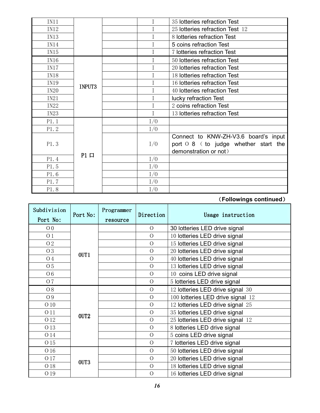| IN11        |             |     | 35 lotteries refraction Test           |
|-------------|-------------|-----|----------------------------------------|
| IN12        |             |     | 25 lotteries refraction Test 12        |
| IN13        |             |     | 8 lotteries refraction Test            |
| IN14        |             |     | 5 coins refraction Test                |
| IN15        |             |     | 7 lotteries refraction Test            |
| IN16        |             |     | 50 lotteries refraction Test           |
| IN17        |             |     | 20 lotteries refraction Test           |
| IN18        | INPUT3      |     | 18 lotteries refraction Test           |
| IN19        |             |     | 16 lotteries refraction Test           |
| <b>IN20</b> |             |     | 40 lotteries refraction Test           |
| IN21        |             |     | lucky refraction Test                  |
| <b>IN22</b> |             |     | 2 coins refraction Test                |
| IN23        |             |     | 13 lotteries refraction Test           |
| P1.1        | $P1$ $\Box$ | I/0 |                                        |
| P1.2        |             | I/0 |                                        |
|             |             |     | Connect to KNW-ZH-V3.6 board's input   |
| P1.3        |             | I/0 | port $0.8$ (to judge whether start the |
|             |             |     | demonstration or not)                  |
| P1.4        |             | I/0 |                                        |
| P1.5        |             | I/0 |                                        |
| P1.6        |             | I/0 |                                        |
| P1.7        |             | I/0 |                                        |
| P1.8        |             | I/0 |                                        |

### (**Followings continued**)

| Subdivision<br>Port No: | Port No:         | Programmer<br>resource | Direction      | Usage instruction                 |
|-------------------------|------------------|------------------------|----------------|-----------------------------------|
| 0 <sub>0</sub>          |                  |                        | $\overline{O}$ | 30 lotteries LED drive signal     |
| 01                      |                  |                        | $\overline{O}$ | 10 lotteries LED drive signal     |
| O 2                     |                  |                        | $\overline{O}$ | 15 lotteries LED drive signal     |
| O 3                     | OUT1             |                        | $\overline{O}$ | 20 lotteries LED drive signal     |
| <b>O</b> 4              |                  |                        | $\overline{O}$ | 40 lotteries LED drive signal     |
| O <sub>5</sub>          |                  |                        | $\overline{O}$ | 13 lotteries LED drive signal     |
| O <sub>6</sub>          |                  |                        | $\overline{O}$ | 10 coins LED drive signal         |
| O 7                     |                  |                        | $\overline{O}$ | 5 lotteries LED drive signal      |
| O 8                     |                  |                        | $\overline{O}$ | 12 lotteries LED drive signal 30  |
| O 9                     |                  |                        | $\overline{O}$ | 100 lotteries LED drive signal 12 |
| 010                     |                  |                        | $\overline{O}$ | 12 lotteries LED drive signal 25  |
| O 11                    |                  |                        | $\overline{O}$ | 35 lotteries LED drive signal     |
| 012                     | OUT <sub>2</sub> |                        | $\overline{O}$ | 25 lotteries LED drive signal 12  |
| O 13                    |                  |                        | $\overline{O}$ | 8 lotteries LED drive signal      |
| 014                     |                  |                        | $\overline{O}$ | 5 coins LED drive signal          |
| O 15                    |                  |                        | $\overline{O}$ | 7 lotteries LED drive signal      |
| O 16                    | OUT <sub>3</sub> |                        | $\overline{O}$ | 50 lotteries LED drive signal     |
| O 17                    |                  |                        | $\overline{O}$ | 20 lotteries LED drive signal     |
| O 18                    |                  |                        | $\overline{O}$ | 18 lotteries LED drive signal     |
| O 19                    |                  |                        | $\overline{O}$ | 16 lotteries LED drive signal     |